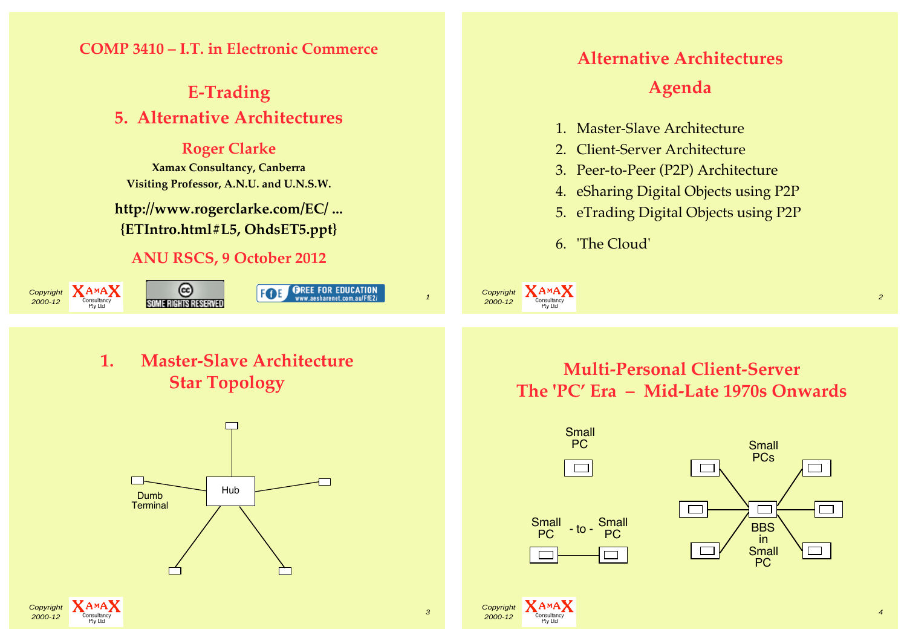

**Star Topology**



**The 'PC' Era – Mid-Late 1970s Onwards**

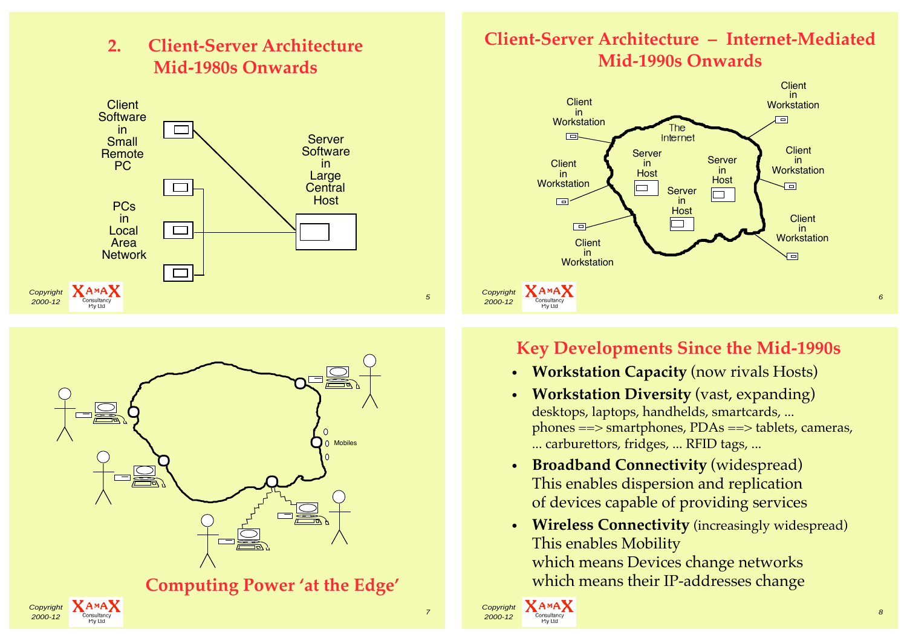

**2. Client-Server Architecture**



**Computing Power 'at the Edge'**

## **Client-Server Architecture – Internet-Mediated Mid-1990s Onwards**



## **Key Developments Since the Mid-1990s**

- **Workstation Capacity** (now rivals Hosts)
- **Workstation Diversity** (vast, expanding) desktops, laptops, handhelds, smartcards, ... phones ==> smartphones, PDAs ==> tablets, cameras, ... carburettors, fridges, ... RFID tags, ...
- **Broadband Connectivity** (widespread) This enables dispersion and replication of devices capable of providing services
- **Wireless Connectivity** (increasingly widespread) This enables Mobility which means Devices change networks which means their IP-addresses change

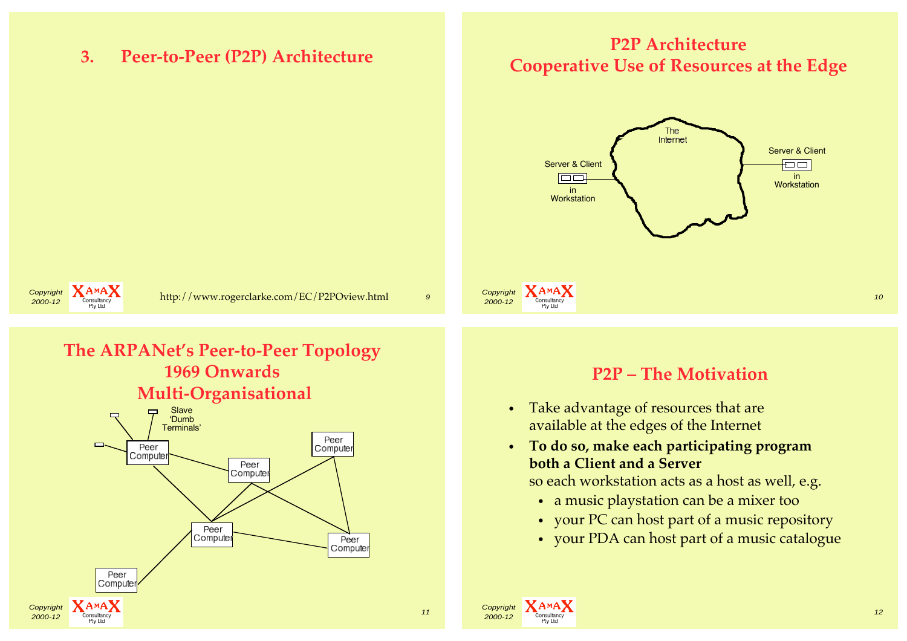**3. Peer-to-Peer (P2P) Architecture**

## **P2P Architecture Cooperative Use of Resources at the Edge**





## **The ARPANet's Peer-to-Peer Topology 1969 Onwards Multi-Organisational**



#### **P2P – The Motivation**

- Take advantage of resources that are available at the edges of the Internet
- **To do so, make each participating program both a Client and a Server**

so each workstation acts as a host as well, e.g.

- a music playstation can be a mixer too
- your PC can host part of a music repository
- your PDA can host part of a music catalogue

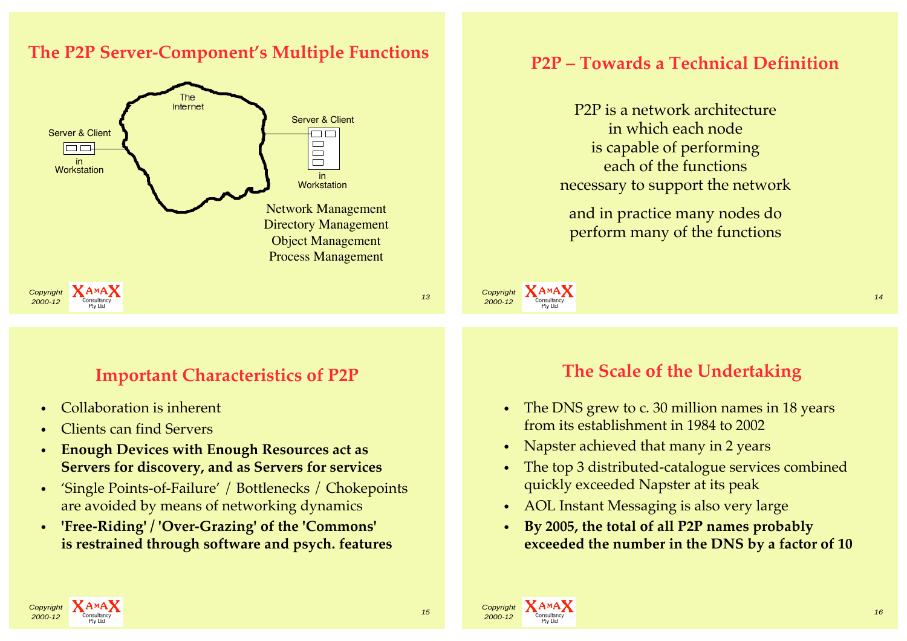#### **The P2P Server-Component's Multiple Functions**



## **P2P – Towards a Technical Definition**

P2P is a network architecture in which each node is capable of performing each of the functions necessary to support the network

and in practice many nodes do perform many of the functions

**Important Characteristics of P2P**

- Collaboration is inherent
- Clients can find Servers
- **Enough Devices with Enough Resources act as Servers for discovery, and as Servers for services**
- 'Single Points-of-Failure' / Bottlenecks / Chokepoints are avoided by means of networking dynamics
- **'Free-Riding' / 'Over-Grazing' of the 'Commons' is restrained through software and psych. features**

## **The Scale of the Undertaking**

**2000-12** Consultancy **2000-12** Consultancy **2000-12** 

- The DNS grew to c. 30 million names in 18 years from its establishment in 1984 to 2002
- Napster achieved that many in 2 years
- The top 3 distributed-catalogue services combined quickly exceeded Napster at its peak
- AOL Instant Messaging is also very large
- **By 2005, the total of all P2P names probably exceeded the number in the DNS by a factor of 10**





Copyright **XAMAX**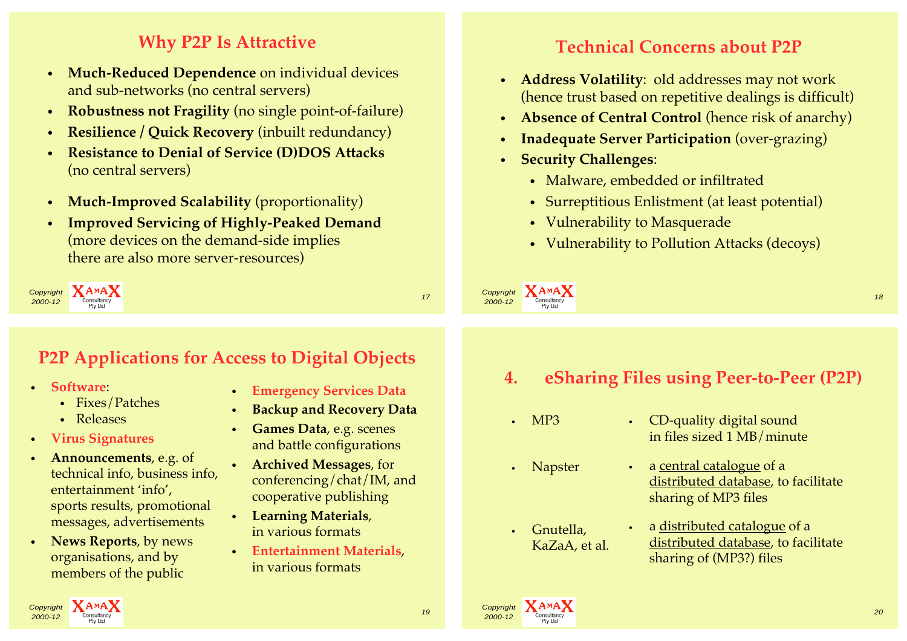## **Why P2P Is Attractive**

- **Much-Reduced Dependence** on individual devices and sub-networks (no central servers)
- **Robustness not Fragility** (no single point-of-failure)
- **Resilience / Quick Recovery** (inbuilt redundancy)
- **Resistance to Denial of Service (D)DOS Attacks**  (no central servers)
- **Much-Improved Scalability** (proportionality)
- **Improved Servicing of Highly-Peaked Demand**  (more devices on the demand-side implies there are also more server-resources)

Copyright **XAMAX 2000-12** Consultancy **2000-12** Consultancy **2000-12** Consultancy **2000-12** Consultancy **2000-12** 

# **P2P Applications for Access to Digital Objects**

- **Software**:
	- Fixes/Patches
	- Releases
- **Virus Signatures**
- **Announcements**, e.g. of technical info, business info, entertainment 'info', sports results, promotional messages, advertisements
- **News Reports**, by news organisations, and by members of the public
- **Emergency Services Data**
- **Backup and Recovery Data**
- **Games Data**, e.g. scenes and battle configurations
- **Archived Messages**, for conferencing/chat/IM, and cooperative publishing
- **Learning Materials**, in various formats
- **Entertainment Materials**, in various formats

## **Technical Concerns about P2P**

- **Address Volatility**: old addresses may not work (hence trust based on repetitive dealings is difficult)
- **Absence of Central Control** (hence risk of anarchy)
- **Inadequate Server Participation** (over-grazing)
- **Security Challenges**:
	- Malware, embedded or infiltrated
	- Surreptitious Enlistment (at least potential)
	- Vulnerability to Masquerade
	- Vulnerability to Pollution Attacks (decoys)

**2000-12** Consultancy **2000-12** Consultancy **2000-12** 

**4. eSharing Files using Peer-to-Peer (P2P)**

- MP3
- Napster

Copyright **XAMAX** 

• Gnutella, KaZaA, et al.

- CD-quality digital sound in files sized 1 MB/minute
	- a central catalogue of a distributed database, to facilitate sharing of MP3 files
	- a distributed catalogue of a distributed database, to facilitate sharing of (MP3?) files



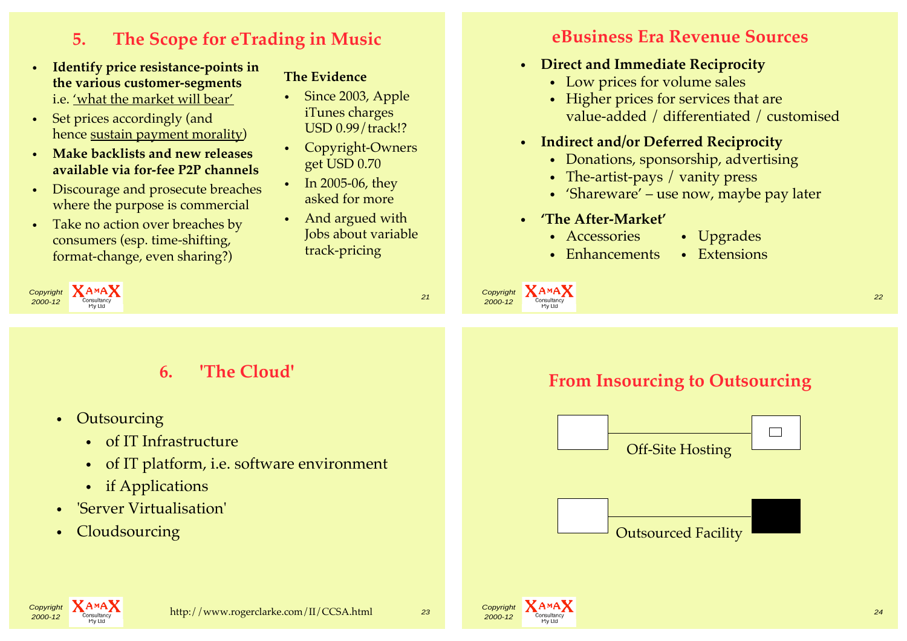# **5. The Scope for eTrading in Music**

- **Identify price resistance-points in the various customer-segments** i.e. 'what the market will bear'
- Set prices accordingly (and hence sustain payment morality)
- **Make backlists and new releases available via for-fee P2P channels**
- Discourage and prosecute breaches where the purpose is commercial
- Take no action over breaches by consumers (esp. time-shifting, format-change, even sharing?)

#### **The Evidence**

- Since 2003, Apple iTunes charges USD 0.99/track!?
- Copyright-Owners get USD 0.70
- In 2005-06, they asked for more
- And argued with Jobs about variable track-pricing

#### **eBusiness Era Revenue Sources**

- **Direct and Immediate Reciprocity**
	- Low prices for volume sales
	- Higher prices for services that are value-added / differentiated / customised
- **Indirect and/or Deferred Reciprocity**
	- Donations, sponsorship, advertising
	- The-artist-pays / vanity press
	- 'Shareware' use now, maybe pay later
- **'The After-Market'**
	- Accessories Upgrades
	- Enhancements Extensions









## **6. 'The Cloud'**

- Outsourcing
	- of IT Infrastructure
	- of IT platform, i.e. software environment
	- if Applications
- 'Server Virtualisation'
- Cloudsourcing

## **From Insourcing to Outsourcing**

experiment and the consultancy of the consultance of the consultance of the consultance of the consultance of the consultance of the consultance of the consultance of the consultance of the consultance of the consultance o







Copyright **XAMAX**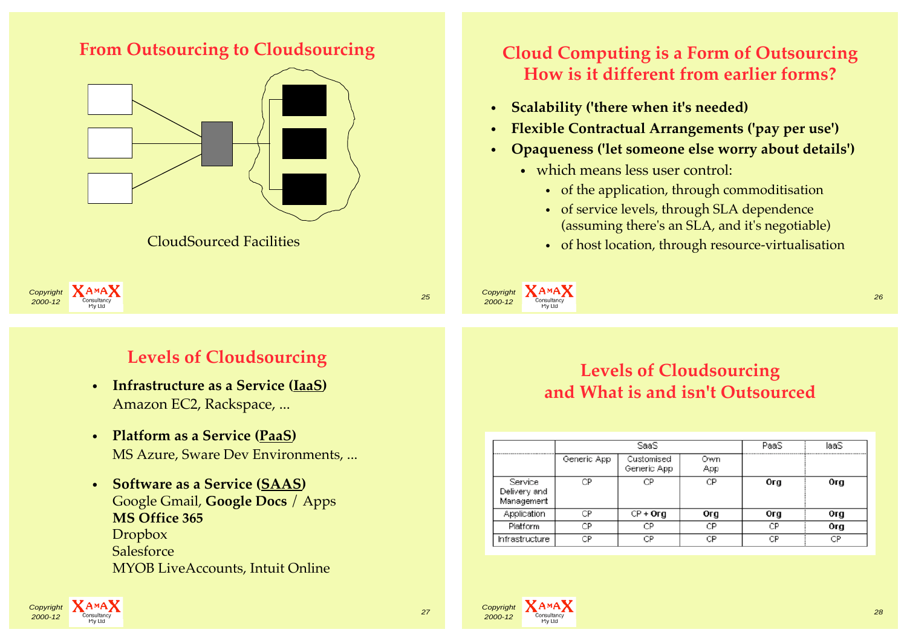

**From Outsourcing to Cloudsourcing**

## **Cloud Computing is a Form of Outsourcing How is it different from earlier forms?**

- **Scalability ('there when it's needed)**
- **Flexible Contractual Arrangements ('pay per use')**
- **Opaqueness ('let someone else worry about details')**
	- which means less user control:
		- of the application, through commoditisation
		- of service levels, through SLA dependence (assuming there's an SLA, and it's negotiable)
		- of host location, through resource-virtualisation





## **Levels of Cloudsourcing**

- **Infrastructure as a Service (IaaS)**  Amazon EC2, Rackspace, ...
- **Platform as a Service (PaaS)** MS Azure, Sware Dev Environments, ...
- **Software as a Service (SAAS)**  Google Gmail, **Google Docs** / Apps **MS Office 365** Dropbox **Salesforce** MYOB LiveAccounts, Intuit Online

## **Levels of Cloudsourcing and What is and isn't Outsourced**

**2000-12** Consultancy 26

|                                       | SaaS        |                           |            | PaaS | laaS |
|---------------------------------------|-------------|---------------------------|------------|------|------|
|                                       | Generic App | Customised<br>Generic App | Own<br>App |      |      |
| Service<br>Delivery and<br>Management | СP          | СP                        | СP         | Org  | Org  |
| Application                           | СP          | $CP + Org$                | Org        | Org  | Org  |
| Platform                              | CР          | СP                        | СP         | СP   | Org  |
| Infrastructure                        | СP          | СP                        | CP         | СP   | CP   |







Copyright **XAMAX**